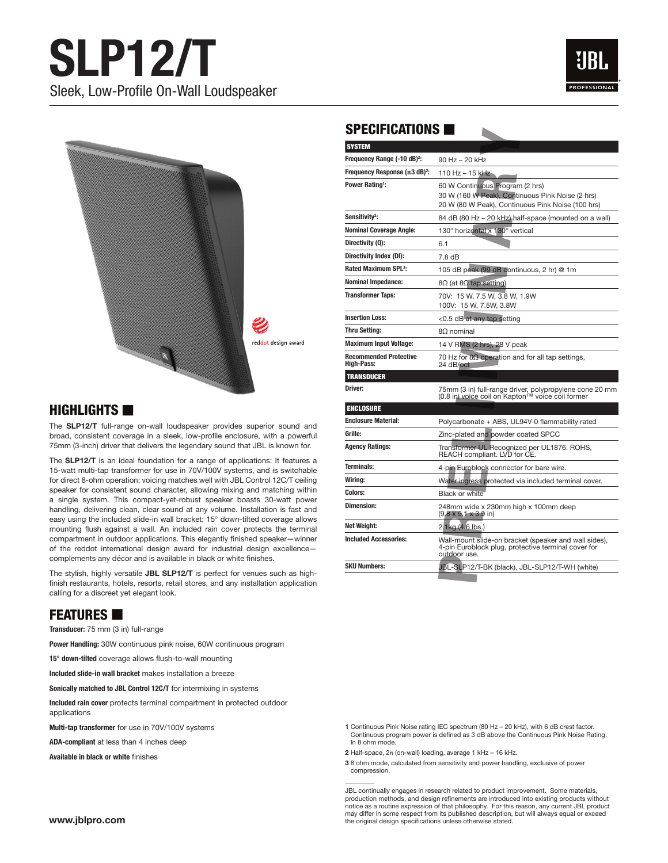



#### $H$ IGHLIGHTS  $\blacksquare$

The **SLP12/T** full-range on-wall loudspeaker provides superior sound and broad, consistent coverage in a sleek, low-profile enclosure, with a powerful 75mm (3-inch) driver that delivers the legendary sound that JBL is known for.

The **SLP12/T** is an ideal foundation for a range of applications: It features a 15-watt multi-tap transformer for use in 70V/100V systems, and is switchable for direct 8-ohm operation; voicing matches well with JBL Control 12C/T ceiling speaker for consistent sound character, allowing mixing and matching within a single system. This compact-yet-robust speaker boasts 30-watt power handling, delivering clean, clear sound at any volume. Installation is fast and easy using the included slide-in wall bracket; 15° down-tilted coverage allows mounting flush against a wall. An included rain cover protects the terminal compartment in outdoor applications. This elegantly finished speaker—winner of the reddot international design award for industrial design excellence complements any décor and is available in black or white finishes.

The stylish, highly versatile **JBL SLP12/T** is perfect for venues such as highfinish restaurants, hotels, resorts, retail stores, and any installation application calling for a discreet yet elegant look.

## **FEATURES**

**Transducer:** 75 mm (3 in) full-range

**Power Handling:** 30W continuous pink noise, 60W continuous program

**15° down-tilted** coverage allows flush-to-wall mounting

**Included slide-in wall bracket** makes installation a breeze

**Sonically matched to JBL Control 12C/T** for intermixing in systems

**Included rain cover** protects terminal compartment in protected outdoor applications

**Multi-tap transformer** for use in 70V/100V systems

**ADA-compliant** at less than 4 inches deep

**Available in black or white** finishes

### $SPECIFICATIONS  $\blacksquare$$

| SPECIFICALIUNS <b>H</b>                     |                                                                                                                                          |
|---------------------------------------------|------------------------------------------------------------------------------------------------------------------------------------------|
| <b>SYSTEM</b>                               |                                                                                                                                          |
| Frequency Range (-10 dB) <sup>2</sup> :     | 90 Hz - 20 kHz                                                                                                                           |
| Frequency Response $(\pm 3 \text{ dB})^2$ : | 110 Hz - 15 kHz                                                                                                                          |
| <b>Power Rating!:</b>                       | 60 W Continuous Program (2 hrs)<br>30 W (160 W Peak), Continuous Pink Noise (2 hrs)<br>20 W (80 W Peak), Continuous Pink Noise (100 hrs) |
| Sensitivity <sup>2</sup> :                  | 84 dB (80 Hz – 20 kHz) half-space (mounted on a wall)                                                                                    |
| <b>Nominal Coverage Angle:</b>              | 130° horizontal x 130° vertical                                                                                                          |
| Directivity (Q):                            | 6.1                                                                                                                                      |
| Directivity Index (DI):                     | 7.8 <sub>dB</sub>                                                                                                                        |
| <b>Rated Maximum SPL<sup>3</sup>:</b>       | 105 dB peak (99 dB continuous, 2 hr) @ 1m                                                                                                |
| <b>Nominal Impedance:</b>                   | $8Ω$ (at $8Ω$ tap setting)                                                                                                               |
| <b>Transformer Taps:</b>                    | 70V: 15 W. 7.5 W. 3.8 W. 1.9W<br>100V: 15 W, 7.5W, 3.8W                                                                                  |
| <b>Insertion Loss:</b>                      | <0.5 dB at any tap setting                                                                                                               |
| <b>Thru Setting:</b>                        | 8Ω nominal                                                                                                                               |
| <b>Maximum Input Voltage:</b>               | 14 V RMS (2 hrs), 28 V peak                                                                                                              |
| <b>Recommended Protective</b><br>High-Pass: | 70 Hz for $8\Omega$ operation and for all tap settings,<br>24 dB/oct                                                                     |
| <b>TRANSDUCER</b>                           |                                                                                                                                          |
| Driver:                                     | 75mm (3 in) full-range driver, polypropylene cone 20 mm<br>(0.8 in) voice coil on Kapton™ voice coil former                              |
| <b>ENCLOSURE</b>                            |                                                                                                                                          |
| <b>Enclosure Material:</b>                  | Polycarbonate + ABS, UL94V-0 flammability rated                                                                                          |
| Grille:                                     | Zinc-plated and powder coated SPCC                                                                                                       |
| <b>Agency Ratings:</b>                      | Transformer UL Recognized per UL1876. ROHS,<br>REACH compliant. LVD for CE.                                                              |
| <b>Terminals:</b>                           | 4-pin Euroblock connector for bare wire.                                                                                                 |
| Wiring:                                     | Water ingress protected via included terminal cover.                                                                                     |
| Colors:                                     | <b>Black or white</b>                                                                                                                    |
| <b>Dimension:</b>                           | 248mm wide x 230mm high x 100mm deep<br>$(9.8 \times 9.1 \times 3.9)$ in)                                                                |
| Net Weight:                                 | 2.1kg (4.6 lbs.)                                                                                                                         |
| <b>Included Accessories:</b>                | Wall-mount slide-on bracket (speaker and wall sides),<br>4-pin Euroblock plug, protective terminal cover for<br>outdoor use.             |
| <b>SKU Numbers:</b>                         | JBL-SLP12/T-BK (black), JBL-SLP12/T-WH (white)                                                                                           |

**1** Continuous Pink Noise rating IEC spectrum (80 Hz – 20 kHz), with 6 dB crest factor. Continuous program power is defined as 3 dB above the Continuous Pink Noise Rating. In 8 ohm mode.

**2** Half-space, 2π (on-wall) loading, average 1 kHz – 16 kHz.

 $\overline{\phantom{a}}$ 

**3** 8 ohm mode, calculated from sensitivity and power handling, exclusive of power compression.

JBL continually engages in research related to product improvement. Some materials, production methods, and design refinements are introduced into existing products without notice as a routine expression of that philosophy. For this reason, any current JBL product may differ in some respect from its published description, but will always equal or exceed the original design specifications unless otherwise stated.